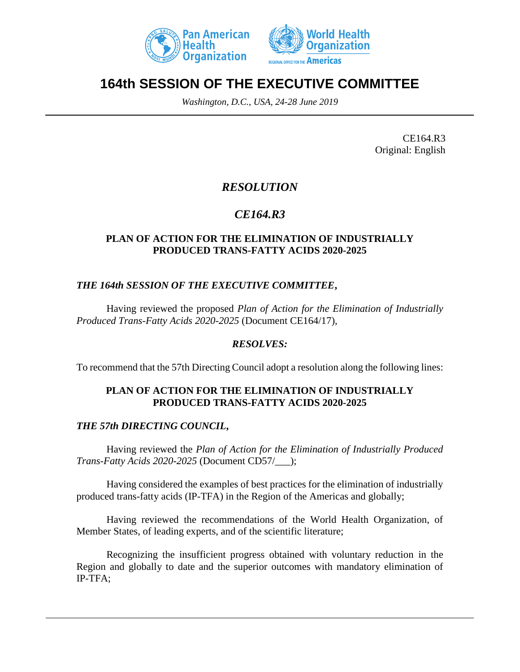



# **164th SESSION OF THE EXECUTIVE COMMITTEE**

*Washington, D.C., USA, 24-28 June 2019*

CE164.R3 Original: English

### *RESOLUTION*

## *CE164.R3*

#### **PLAN OF ACTION FOR THE ELIMINATION OF INDUSTRIALLY PRODUCED TRANS-FATTY ACIDS 2020-2025**

#### *THE 164th SESSION OF THE EXECUTIVE COMMITTEE***,**

Having reviewed the proposed *Plan of Action for the Elimination of Industrially Produced Trans-Fatty Acids 2020-2025* (Document CE164/17),

#### *RESOLVES:*

To recommend that the 57th Directing Council adopt a resolution along the following lines:

#### **PLAN OF ACTION FOR THE ELIMINATION OF INDUSTRIALLY PRODUCED TRANS-FATTY ACIDS 2020-2025**

### *THE 57th DIRECTING COUNCIL***,**

Having reviewed the *Plan of Action for the Elimination of Industrially Produced Trans-Fatty Acids 2020-2025* (Document CD57/\_\_\_);

Having considered the examples of best practices for the elimination of industrially produced trans-fatty acids (IP-TFA) in the Region of the Americas and globally;

Having reviewed the recommendations of the World Health Organization, of Member States, of leading experts, and of the scientific literature;

Recognizing the insufficient progress obtained with voluntary reduction in the Region and globally to date and the superior outcomes with mandatory elimination of IP-TFA;